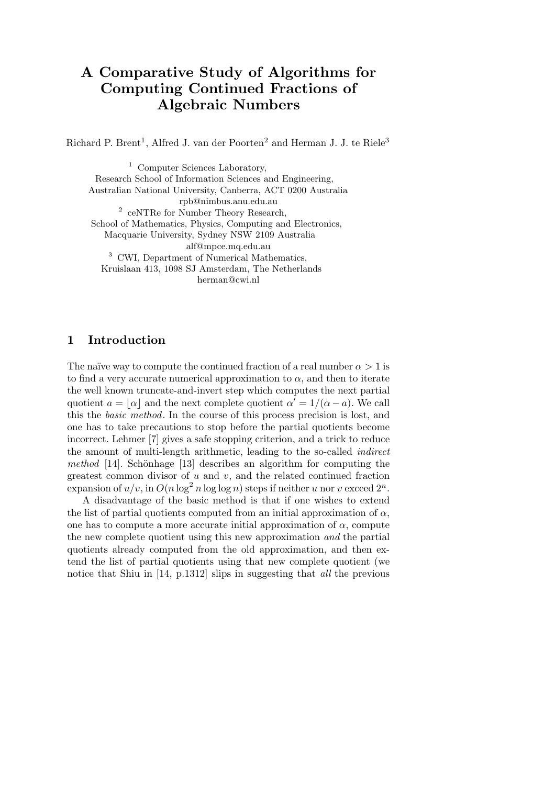# **A Comparative Study of Algorithms for Computing Continued Fractions of Algebraic Numbers**

Richard P. Brent<sup>1</sup>, Alfred J. van der Poorten<sup>2</sup> and Herman J. J. te Riele<sup>3</sup>

<sup>1</sup> Computer Sciences Laboratory, Research School of Information Sciences and Engineering, Australian National University, Canberra, ACT 0200 Australia rpb@nimbus.anu.edu.au <sup>2</sup> ceNTRe for Number Theory Research, School of Mathematics, Physics, Computing and Electronics, Macquarie University, Sydney NSW 2109 Australia alf@mpce.mq.edu.au <sup>3</sup> CWI, Department of Numerical Mathematics, Kruislaan 413, 1098 SJ Amsterdam, The Netherlands herman@cwi.nl

# **1 Introduction**

The naïve way to compute the continued fraction of a real number  $\alpha > 1$  is to find a very accurate numerical approximation to  $\alpha$ , and then to iterate the well known truncate-and-invert step which computes the next partial quotient  $a = \lfloor \alpha \rfloor$  and the next complete quotient  $\alpha' = 1/(\alpha - a)$ . We call this the basic method. In the course of this process precision is lost, and one has to take precautions to stop before the partial quotients become incorrect. Lehmer [7] gives a safe stopping criterion, and a trick to reduce the amount of multi-length arithmetic, leading to the so-called indirect method  $[14]$ . Schönhage  $[13]$  describes an algorithm for computing the greatest common divisor of *u* and *v*, and the related continued fraction  $\exp$  ansion of  $u/v$ , in  $O(n \log^2 n \log \log n)$  steps if neither  $u$  nor  $v$  exceed  $2^n$ .

A disadvantage of the basic method is that if one wishes to extend the list of partial quotients computed from an initial approximation of  $\alpha$ , one has to compute a more accurate initial approximation of  $\alpha$ , compute the new complete quotient using this new approximation and the partial quotients already computed from the old approximation, and then extend the list of partial quotients using that new complete quotient (we notice that Shiu in [14, p.1312] slips in suggesting that all the previous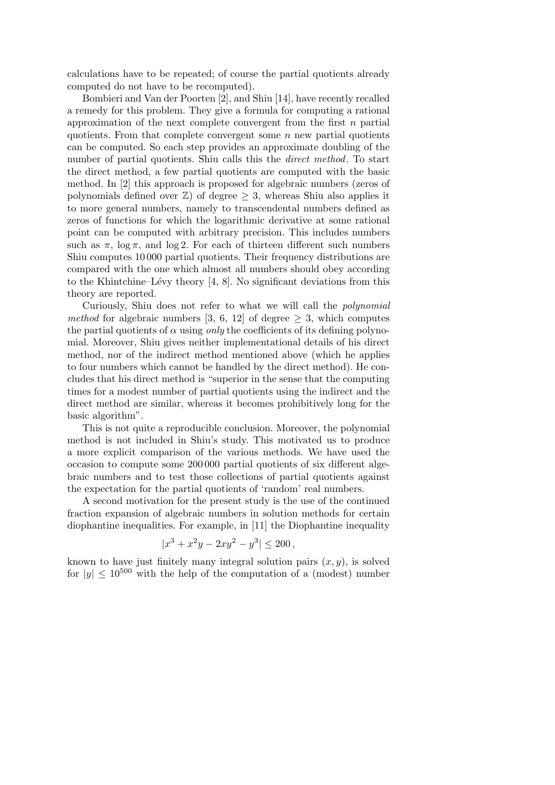calculations have to be repeated; of course the partial quotients already computed do not have to be recomputed).

Bombieri and Van der Poorten [2], and Shiu [14], have recently recalled a remedy for this problem. They give a formula for computing a rational approximation of the next complete convergent from the first *n* partial quotients. From that complete convergent some *n* new partial quotients can be computed. So each step provides an approximate doubling of the number of partial quotients. Shiu calls this the direct method. To start the direct method, a few partial quotients are computed with the basic method. In [2] this approach is proposed for algebraic numbers (zeros of polynomials defined over  $\mathbb{Z}$ ) of degree  $\geq$  3, whereas Shiu also applies it to more general numbers, namely to transcendental numbers defined as zeros of functions for which the logarithmic derivative at some rational point can be computed with arbitrary precision. This includes numbers such as  $\pi$ ,  $\log \pi$ , and  $\log 2$ . For each of thirteen different such numbers Shiu computes 10 000 partial quotients. Their frequency distributions are compared with the one which almost all numbers should obey according to the Khintchine–Lévy theory  $[4, 8]$ . No significant deviations from this theory are reported.

Curiously, Shiu does not refer to what we will call the polynomial method for algebraic numbers [3, 6, 12] of degree  $\geq$  3, which computes the partial quotients of  $\alpha$  using *only* the coefficients of its defining polynomial. Moreover, Shiu gives neither implementational details of his direct method, nor of the indirect method mentioned above (which he applies to four numbers which cannot be handled by the direct method). He concludes that his direct method is "superior in the sense that the computing times for a modest number of partial quotients using the indirect and the direct method are similar, whereas it becomes prohibitively long for the basic algorithm".

This is not quite a reproducible conclusion. Moreover, the polynomial method is not included in Shiu's study. This motivated us to produce a more explicit comparison of the various methods. We have used the occasion to compute some 200 000 partial quotients of six different algebraic numbers and to test those collections of partial quotients against the expectation for the partial quotients of 'random' real numbers.

A second motivation for the present study is the use of the continued fraction expansion of algebraic numbers in solution methods for certain diophantine inequalities. For example, in [11] the Diophantine inequality

$$
|x^3 + x^2y - 2xy^2 - y^3| \le 200,
$$

known to have just finitely many integral solution pairs  $(x, y)$ , is solved for  $|y| \leq 10^{500}$  with the help of the computation of a (modest) number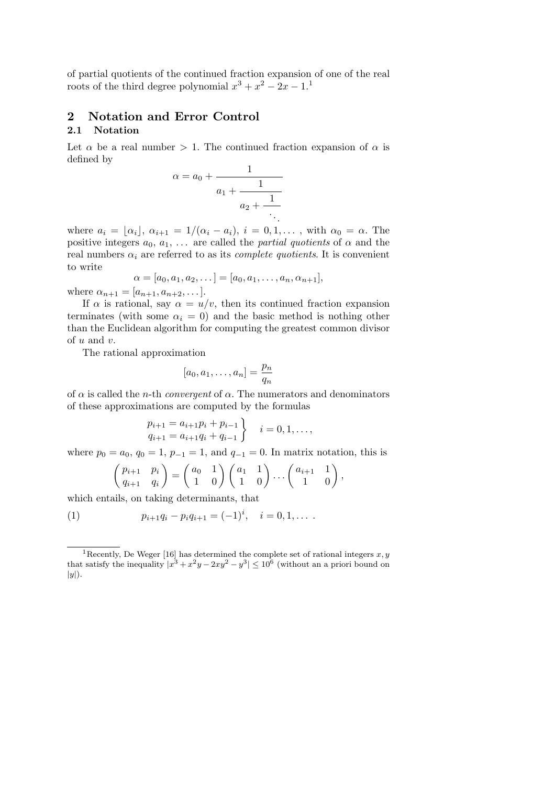of partial quotients of the continued fraction expansion of one of the real roots of the third degree polynomial  $x^3 + x^2 - 2x - 1$ .<sup>1</sup>

# **2 Notation and Error Control**

# **2.1 Notation**

Let  $\alpha$  be a real number  $> 1$ . The continued fraction expansion of  $\alpha$  is defined by

$$
\alpha = a_0 + \cfrac{1}{a_1 + \cfrac{1}{a_2 + \cfrac{1}{\ddots}}}
$$

where  $a_i = \lfloor \alpha_i \rfloor, \ \alpha_{i+1} = 1/(\alpha_i - a_i), \ i = 0, 1, \ldots,$  with  $\alpha_0 = \alpha$ . The positive integers  $a_0, a_1, \ldots$  are called the *partial quotients* of  $\alpha$  and the real numbers  $\alpha_i$  are referred to as its *complete quotients*. It is convenient to write

$$
\alpha = [a_0, a_1, a_2, \dots] = [a_0, a_1, \dots, a_n, \alpha_{n+1}],
$$

where  $\alpha_{n+1} = [a_{n+1}, a_{n+2}, \dots].$ 

If  $\alpha$  is rational, say  $\alpha = u/v$ , then its continued fraction expansion terminates (with some  $\alpha_i = 0$ ) and the basic method is nothing other than the Euclidean algorithm for computing the greatest common divisor of *u* and *v*.

The rational approximation

$$
[a_0, a_1, \dots, a_n] = \frac{p_n}{q_n}
$$

of  $\alpha$  is called the *n*-th *convergent* of  $\alpha$ . The numerators and denominators of these approximations are computed by the formulas

$$
p_{i+1} = a_{i+1}p_i + p_{i-1} \nq_{i+1} = a_{i+1}q_i + q_{i-1}
$$
\n
$$
i = 0, 1, ...,
$$

where  $p_0 = a_0$ ,  $q_0 = 1$ ,  $p_{-1} = 1$ , and  $q_{-1} = 0$ . In matrix notation, this is

$$
\begin{pmatrix} p_{i+1} & p_i \\ q_{i+1} & q_i \end{pmatrix} = \begin{pmatrix} a_0 & 1 \\ 1 & 0 \end{pmatrix} \begin{pmatrix} a_1 & 1 \\ 1 & 0 \end{pmatrix} \dots \begin{pmatrix} a_{i+1} & 1 \\ 1 & 0 \end{pmatrix},
$$

which entails, on taking determinants, that

(1) 
$$
p_{i+1}q_i - p_iq_{i+1} = (-1)^i, \quad i = 0, 1, \ldots
$$

<sup>&</sup>lt;sup>1</sup>Recently, De Weger [16] has determined the complete set of rational integers  $x, y$ that satisfy the inequality  $|x^3 + x^2y - 2xy^2 - y^3| \le 10^6$  (without an a priori bound on  $|y|$ .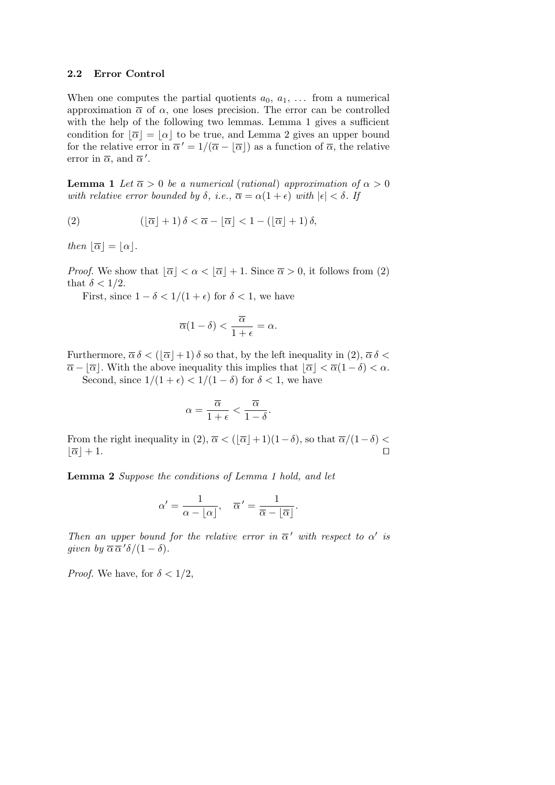#### **2.2 Error Control**

When one computes the partial quotients  $a_0, a_1, \ldots$  from a numerical approximation  $\bar{\alpha}$  of  $\alpha$ , one loses precision. The error can be controlled with the help of the following two lemmas. Lemma 1 gives a sufficient condition for  $\lfloor \overline{\alpha} \rfloor = \lfloor \alpha \rfloor$  to be true, and Lemma 2 gives an upper bound for the relative error in  $\overline{\alpha}' = 1/(\overline{\alpha} - |\overline{\alpha}|)$  as a function of  $\overline{\alpha}$ , the relative error in  $\overline{\alpha}$ , and  $\overline{\alpha}'$ .

**Lemma 1** Let  $\overline{\alpha} > 0$  be a numerical (rational) approximation of  $\alpha > 0$ with relative error bounded by  $\delta$ , i.e.,  $\overline{\alpha} = \alpha(1 + \epsilon)$  with  $|\epsilon| < \delta$ . If

(2) 
$$
(\lfloor \overline{\alpha} \rfloor + 1) \delta < \overline{\alpha} - \lfloor \overline{\alpha} \rfloor < 1 - (\lfloor \overline{\alpha} \rfloor + 1) \delta,
$$

*then*  $\lfloor \overline{\alpha} \rfloor = \lfloor \alpha \rfloor$ .

*Proof.* We show that  $\lfloor \overline{\alpha} \rfloor < \alpha < \lfloor \overline{\alpha} \rfloor + 1$ . Since  $\overline{\alpha} > 0$ , it follows from (2) that  $\delta < 1/2$ .

First, since  $1 - \delta < 1/(1 + \epsilon)$  for  $\delta < 1$ , we have

$$
\overline{\alpha}(1-\delta) < \frac{\overline{\alpha}}{1+\epsilon} = \alpha.
$$

Furthermore,  $\overline{\alpha} \delta$  <  $(|\overline{\alpha}|+1) \delta$  so that, by the left inequality in (2),  $\overline{\alpha} \delta$  <  $\overline{\alpha} - [\overline{\alpha}]$ . With the above inequality this implies that  $[\overline{\alpha}] < \overline{\alpha}(1 - \delta) < \alpha$ .

Second, since  $1/(1+\epsilon) < 1/(1-\delta)$  for  $\delta < 1$ , we have

$$
\alpha = \frac{\overline{\alpha}}{1+\epsilon} < \frac{\overline{\alpha}}{1-\delta}.
$$

From the right inequality in  $(2)$ ,  $\overline{\alpha}$  <  $(|\overline{\alpha}|+1)(1-\delta)$ , so that  $\overline{\alpha}/(1-\delta)$  <  $|\overline{\alpha}|+1.$  $|+1.$ 

**Lemma 2** Suppose the conditions of Lemma 1 hold, and let

$$
\alpha' = \frac{1}{\alpha - \lfloor \alpha \rfloor}, \quad \overline{\alpha}' = \frac{1}{\overline{\alpha} - \lfloor \overline{\alpha} \rfloor}.
$$

Then an upper bound for the relative error in  $\overline{\alpha}'$  with respect to  $\alpha'$  is given by  $\overline{\alpha} \overline{\alpha}' \delta / (1 - \delta)$ .

*Proof.* We have, for  $\delta < 1/2$ ,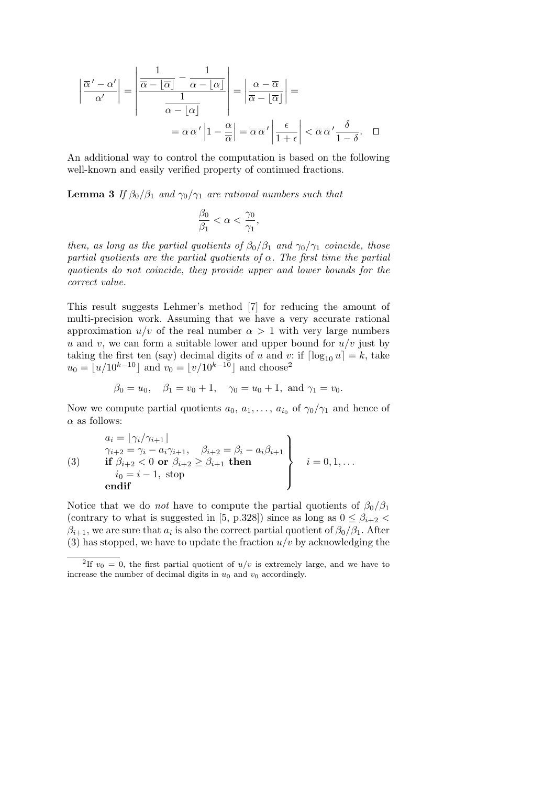$$
\left| \frac{\overline{\alpha}' - \alpha'}{\alpha'} \right| = \left| \frac{\frac{1}{\overline{\alpha} - \lfloor \overline{\alpha} \rfloor} - \frac{1}{\alpha - \lfloor \alpha \rfloor}}{\frac{1}{\alpha - \lfloor \alpha \rfloor}} \right| = \left| \frac{\alpha - \overline{\alpha}}{\overline{\alpha} - \lfloor \overline{\alpha} \rfloor} \right| = \frac{\alpha - \overline{\alpha}}{\overline{\alpha} - \lfloor \overline{\alpha} \rfloor} \left| = \frac{\alpha - \overline{\alpha}}{\overline{\alpha} - \lfloor \overline{\alpha} \rfloor} \right| = \frac{\alpha - \overline{\alpha}}{\overline{\alpha} - \lfloor \overline{\alpha} \rfloor} \left| \frac{\epsilon}{1 + \epsilon} \right| < \overline{\alpha} \overline{\alpha}' \frac{\delta}{1 - \delta}. \quad \Box
$$

An additional way to control the computation is based on the following well-known and easily verified property of continued fractions.

**Lemma 3** If  $\beta_0/\beta_1$  and  $\gamma_0/\gamma_1$  are rational numbers such that

$$
\frac{\beta_0}{\beta_1} < \alpha < \frac{\gamma_0}{\gamma_1},
$$

then, as long as the partial quotients of  $\beta_0/\beta_1$  and  $\gamma_0/\gamma_1$  coincide, those partial quotients are the partial quotients of  $\alpha$ . The first time the partial quotients do not coincide, they provide upper and lower bounds for the correct value.

This result suggests Lehmer's method [7] for reducing the amount of multi-precision work. Assuming that we have a very accurate rational approximation  $u/v$  of the real number  $\alpha > 1$  with very large numbers *u* and *v*, we can form a suitable lower and upper bound for  $u/v$  just by taking the first ten (say) decimal digits of *u* and *v*: if  $\lceil \log_{10} u \rceil = k$ , take  $u_0 = \lfloor u/10^{k-10} \rfloor$  and  $v_0 = \lfloor v/10^{k-10} \rfloor$  and choose<sup>2</sup>

$$
\beta_0 = u_0
$$
,  $\beta_1 = v_0 + 1$ ,  $\gamma_0 = u_0 + 1$ , and  $\gamma_1 = v_0$ .

Now we compute partial quotients  $a_0, a_1, \ldots, a_{i_0}$  of  $\gamma_0/\gamma_1$  and hence of *α* as follows:

$$
\begin{aligned}\na_i &= \lfloor \gamma_i / \gamma_{i+1} \rfloor \\
\gamma_{i+2} &= \gamma_i - a_i \gamma_{i+1}, \quad \beta_{i+2} = \beta_i - a_i \beta_{i+1} \\
\text{if } \beta_{i+2} < 0 \text{ or } \beta_{i+2} \ge \beta_{i+1} \text{ then} \\
i_0 &= i - 1, \text{ stop} \\
\text{endif}\n\end{aligned}\n\quad i = 0, 1, \dots
$$

Notice that we do *not* have to compute the partial quotients of  $\beta_0/\beta_1$ (contrary to what is suggested in [5, p.328]) since as long as  $0 \leq \beta_{i+2}$  $\beta_{i+1}$ , we are sure that  $a_i$  is also the correct partial quotient of  $\beta_0/\beta_1$ . After (3) has stopped, we have to update the fraction  $u/v$  by acknowledging the

<sup>&</sup>lt;sup>2</sup>If  $v_0 = 0$ , the first partial quotient of  $u/v$  is extremely large, and we have to increase the number of decimal digits in  $u_0$  and  $v_0$  accordingly.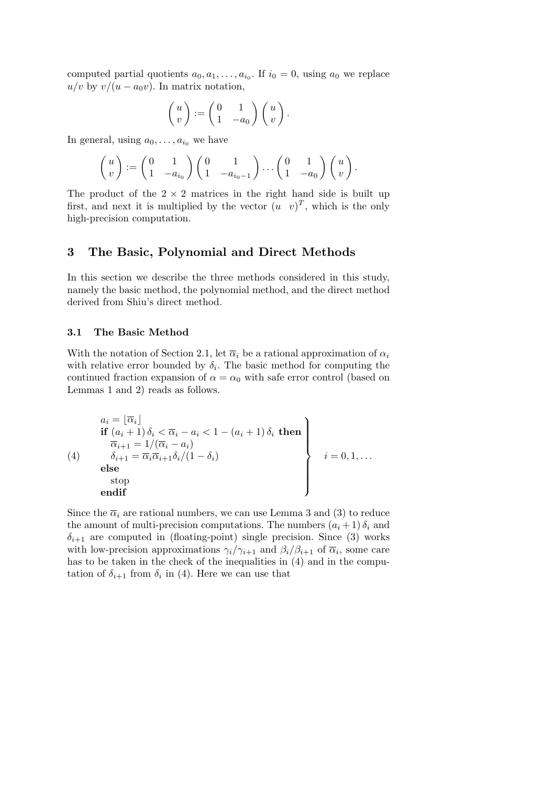computed partial quotients  $a_0, a_1, \ldots, a_{i_0}$ . If  $i_0 = 0$ , using  $a_0$  we replace  $u/v$  by  $v/(u - a_0v)$ . In matrix notation,

$$
\begin{pmatrix} u \\ v \end{pmatrix} := \begin{pmatrix} 0 & 1 \\ 1 & -a_0 \end{pmatrix} \begin{pmatrix} u \\ v \end{pmatrix}.
$$

In general, using  $a_0, \ldots, a_{i_0}$  we have

$$
\begin{pmatrix} u \\ v \end{pmatrix} := \begin{pmatrix} 0 & 1 \\ 1 & -a_{i_0} \end{pmatrix} \begin{pmatrix} 0 & 1 \\ 1 & -a_{i_0-1} \end{pmatrix} \dots \begin{pmatrix} 0 & 1 \\ 1 & -a_0 \end{pmatrix} \begin{pmatrix} u \\ v \end{pmatrix}.
$$

The product of the  $2 \times 2$  matrices in the right hand side is built up first, and next it is multiplied by the vector  $(u \, v)^T$ , which is the only high-precision computation.

# **3 The Basic, Polynomial and Direct Methods**

In this section we describe the three methods considered in this study, namely the basic method, the polynomial method, and the direct method derived from Shiu's direct method.

#### **3.1 The Basic Method**

With the notation of Section 2.1, let  $\overline{\alpha}_i$  be a rational approximation of  $\alpha_i$ with relative error bounded by  $\delta_i$ . The basic method for computing the continued fraction expansion of  $\alpha = \alpha_0$  with safe error control (based on Lemmas 1 and 2) reads as follows.

$$
(4) \quad \begin{array}{c} a_i = \lfloor \overline{\alpha}_i \rfloor \\ \text{if } (a_i + 1) \, \delta_i < \overline{\alpha}_i - a_i < 1 - (a_i + 1) \, \delta_i \text{ then} \\ \overline{\overline{\alpha}}_{i+1} = 1/(\overline{\alpha}_i - a_i) \\ \delta_{i+1} = \overline{\alpha}_i \overline{\alpha}_{i+1} \delta_i/(1 - \delta_i) \\ \text{else} \\ \text{stop} \\ \text{endif} \end{array} \right\} \quad i = 0, 1, \ldots
$$

Since the  $\overline{\alpha}_i$  are rational numbers, we can use Lemma 3 and (3) to reduce the amount of multi-precision computations. The numbers  $(a_i + 1) \delta_i$  and  $\delta_{i+1}$  are computed in (floating-point) single precision. Since (3) works with low-precision approximations  $\gamma_i/\gamma_{i+1}$  and  $\beta_i/\beta_{i+1}$  of  $\overline{\alpha}_i$ , some care has to be taken in the check of the inequalities in  $(4)$  and in the computation of  $\delta_{i+1}$  from  $\delta_i$  in (4). Here we can use that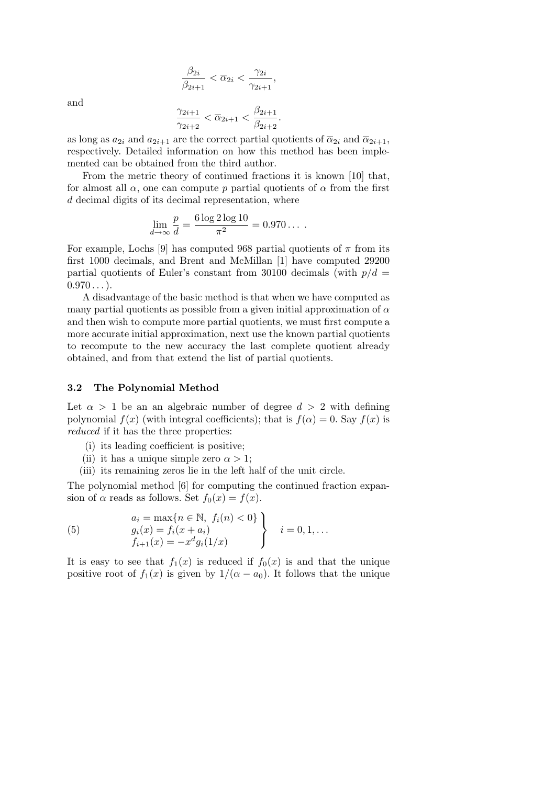$$
\frac{\beta_{2i}}{\beta_{2i+1}} < \overline{\alpha}_{2i} < \frac{\gamma_{2i}}{\gamma_{2i+1}},
$$

and

$$
\frac{\gamma_{2i+1}}{\gamma_{2i+2}} < \overline{\alpha}_{2i+1} < \frac{\beta_{2i+1}}{\beta_{2i+2}}
$$

*.*

as long as  $a_{2i}$  and  $a_{2i+1}$  are the correct partial quotients of  $\overline{\alpha}_{2i}$  and  $\overline{\alpha}_{2i+1}$ , respectively. Detailed information on how this method has been implemented can be obtained from the third author.

From the metric theory of continued fractions it is known [10] that, for almost all  $\alpha$ , one can compute  $p$  partial quotients of  $\alpha$  from the first *d* decimal digits of its decimal representation, where

$$
\lim_{d \to \infty} \frac{p}{d} = \frac{6 \log 2 \log 10}{\pi^2} = 0.970 \dots
$$

For example, Lochs [9] has computed 968 partial quotients of  $\pi$  from its first 1000 decimals, and Brent and McMillan [1] have computed 29200 partial quotients of Euler's constant from 30100 decimals (with  $p/d =$  $0.970...$ .

A disadvantage of the basic method is that when we have computed as many partial quotients as possible from a given initial approximation of  $\alpha$ and then wish to compute more partial quotients, we must first compute a more accurate initial approximation, next use the known partial quotients to recompute to the new accuracy the last complete quotient already obtained, and from that extend the list of partial quotients.

#### **3.2 The Polynomial Method**

Let  $\alpha > 1$  be an an algebraic number of degree  $d > 2$  with defining polynomial  $f(x)$  (with integral coefficients); that is  $f(\alpha) = 0$ . Say  $f(x)$  is reduced if it has the three properties:

- (i) its leading coefficient is positive;
- (ii) it has a unique simple zero  $\alpha > 1$ ;
- (iii) its remaining zeros lie in the left half of the unit circle.

The polynomial method [6] for computing the continued fraction expansion of  $\alpha$  reads as follows. Set  $f_0(x) = f(x)$ .

(5) 
$$
\begin{cases}\na_i = \max\{n \in \mathbb{N}, f_i(n) < 0\} \\
g_i(x) = f_i(x + a_i) \\
f_{i+1}(x) = -x^d g_i(1/x)\n\end{cases}\n\quad i = 0, 1, \ldots
$$

It is easy to see that  $f_1(x)$  is reduced if  $f_0(x)$  is and that the unique positive root of  $f_1(x)$  is given by  $1/(\alpha - a_0)$ . It follows that the unique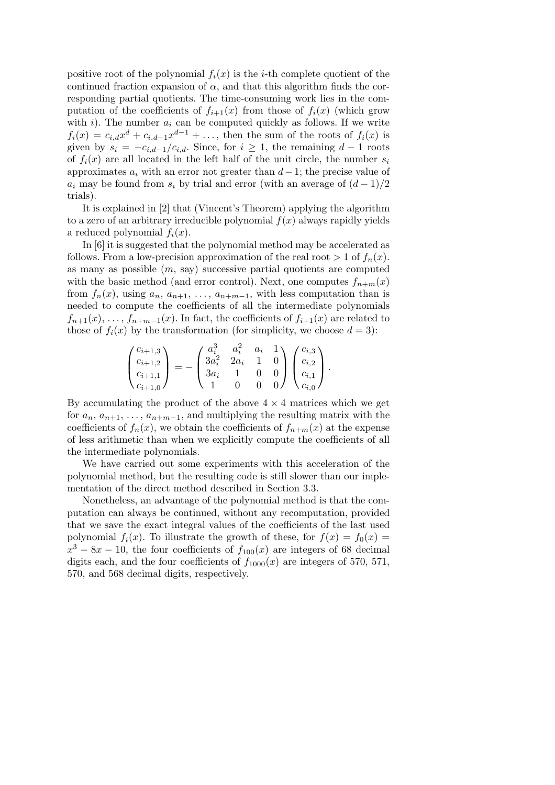positive root of the polynomial  $f_i(x)$  is the *i*-th complete quotient of the continued fraction expansion of  $\alpha$ , and that this algorithm finds the corresponding partial quotients. The time-consuming work lies in the computation of the coefficients of  $f_{i+1}(x)$  from those of  $f_i(x)$  (which grow with  $i$ ). The number  $a_i$  can be computed quickly as follows. If we write  $f_i(x) = c_{i,d}x^d + c_{i,d-1}x^{d-1} + \ldots$ , then the sum of the roots of  $f_i(x)$  is given by  $s_i = -c_{i,d-1}/c_{i,d}$ . Since, for  $i \geq 1$ , the remaining  $d-1$  roots of  $f_i(x)$  are all located in the left half of the unit circle, the number  $s_i$ approximates *a<sup>i</sup>* with an error not greater than *d*−1; the precise value of *a*<sub>*i*</sub> may be found from  $s_i$  by trial and error (with an average of  $(d-1)/2$ trials).

It is explained in [2] that (Vincent's Theorem) applying the algorithm to a zero of an arbitrary irreducible polynomial  $f(x)$  always rapidly yields a reduced polynomial  $f_i(x)$ .

In [6] it is suggested that the polynomial method may be accelerated as follows. From a low-precision approximation of the real root  $> 1$  of  $f_n(x)$ . as many as possible (*m*, say) successive partial quotients are computed with the basic method (and error control). Next, one computes  $f_{n+m}(x)$ from  $f_n(x)$ , using  $a_n$ ,  $a_{n+1}$ ,  $\dots$ ,  $a_{n+m-1}$ , with less computation than is needed to compute the coefficients of all the intermediate polynomials  $f_{n+1}(x), \ldots, f_{n+m-1}(x)$ . In fact, the coefficients of  $f_{i+1}(x)$  are related to those of  $f_i(x)$  by the transformation (for simplicity, we choose  $d = 3$ ):

$$
\begin{pmatrix} c_{i+1,3} \\ c_{i+1,2} \\ c_{i+1,1} \\ c_{i+1,0} \end{pmatrix} = - \begin{pmatrix} a_i^3 & a_i^2 & a_i & 1 \\ 3a_i^2 & 2a_i & 1 & 0 \\ 3a_i & 1 & 0 & 0 \\ 1 & 0 & 0 & 0 \end{pmatrix} \begin{pmatrix} c_{i,3} \\ c_{i,2} \\ c_{i,1} \\ c_{i,0} \end{pmatrix}.
$$

By accumulating the product of the above  $4 \times 4$  matrices which we get for  $a_n$ ,  $a_{n+1}$ ,  $\dots$ ,  $a_{n+m-1}$ , and multiplying the resulting matrix with the coefficients of  $f_n(x)$ , we obtain the coefficients of  $f_{n+m}(x)$  at the expense of less arithmetic than when we explicitly compute the coefficients of all the intermediate polynomials.

We have carried out some experiments with this acceleration of the polynomial method, but the resulting code is still slower than our implementation of the direct method described in Section 3.3.

Nonetheless, an advantage of the polynomial method is that the computation can always be continued, without any recomputation, provided that we save the exact integral values of the coefficients of the last used polynomial  $f_i(x)$ . To illustrate the growth of these, for  $f(x) = f_0(x) =$  $x^3 - 8x - 10$ , the four coefficients of  $f_{100}(x)$  are integers of 68 decimal digits each, and the four coefficients of  $f_{1000}(x)$  are integers of 570, 571, 570, and 568 decimal digits, respectively.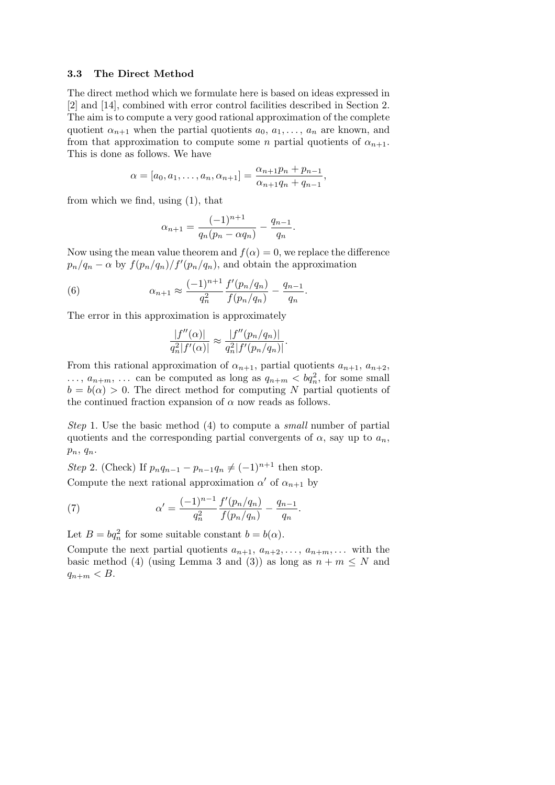#### **3.3 The Direct Method**

The direct method which we formulate here is based on ideas expressed in [2] and [14], combined with error control facilities described in Section 2. The aim is to compute a very good rational approximation of the complete quotient  $\alpha_{n+1}$  when the partial quotients  $a_0, a_1, \ldots, a_n$  are known, and from that approximation to compute some *n* partial quotients of  $\alpha_{n+1}$ . This is done as follows. We have

$$
\alpha = [a_0, a_1, \dots, a_n, \alpha_{n+1}] = \frac{\alpha_{n+1}p_n + p_{n-1}}{\alpha_{n+1}q_n + q_{n-1}},
$$

from which we find, using (1), that

$$
\alpha_{n+1} = \frac{(-1)^{n+1}}{q_n(p_n - \alpha q_n)} - \frac{q_{n-1}}{q_n}.
$$

Now using the mean value theorem and  $f(\alpha) = 0$ , we replace the difference  $p_n/q_n - \alpha$  by  $f(p_n/q_n)/f'(p_n/q_n)$ , and obtain the approximation

*.*

*.*

(6) 
$$
\alpha_{n+1} \approx \frac{(-1)^{n+1}}{q_n^2} \frac{f'(p_n/q_n)}{f(p_n/q_n)} - \frac{q_{n-1}}{q_n}
$$

The error in this approximation is approximately

$$
\frac{|f''(\alpha)|}{q_n^2|f'(\alpha)|} \approx \frac{|f''(p_n/q_n)|}{q_n^2|f'(p_n/q_n)|}
$$

From this rational approximation of  $\alpha_{n+1}$ , partial quotients  $a_{n+1}$ ,  $a_{n+2}$ ,  $\ldots$ ,  $a_{n+m}$ ,  $\ldots$  can be computed as long as  $q_{n+m} < dq_n^2$ , for some small  $b = b(\alpha) > 0$ . The direct method for computing *N* partial quotients of the continued fraction expansion of  $\alpha$  now reads as follows.

Step 1. Use the basic method (4) to compute a small number of partial quotients and the corresponding partial convergents of  $\alpha$ , say up to  $a_n$ , *pn*, *qn*.

Step 2. (Check) If  $p_n q_{n-1} - p_{n-1} q_n \neq (-1)^{n+1}$  then stop.

Compute the next rational approximation  $\alpha'$  of  $\alpha_{n+1}$  by

(7) 
$$
\alpha' = \frac{(-1)^{n-1}}{q_n^2} \frac{f'(p_n/q_n)}{f(p_n/q_n)} - \frac{q_{n-1}}{q_n}.
$$

Let  $B = bq_n^2$  for some suitable constant  $b = b(\alpha)$ .

Compute the next partial quotients  $a_{n+1}, a_{n+2}, \ldots, a_{n+m}, \ldots$  with the basic method (4) (using Lemma 3 and (3)) as long as  $n + m \leq N$  and  $q_{n+m} < B$ .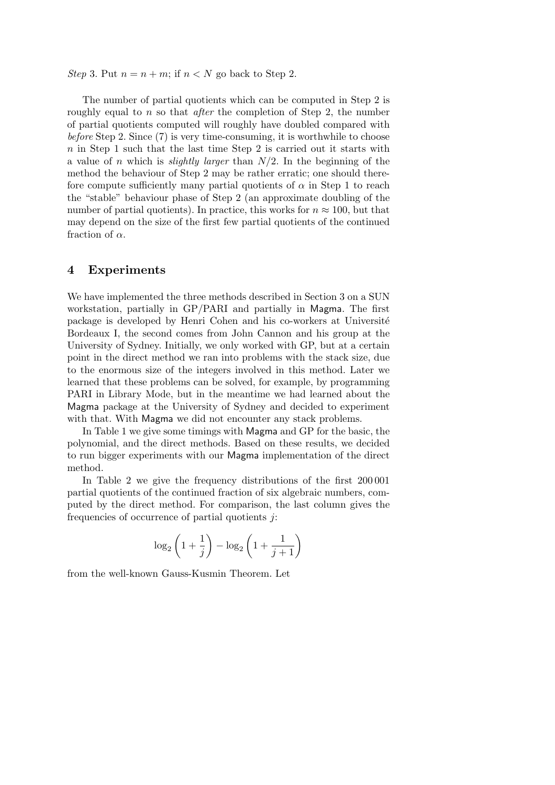Step 3. Put  $n = n + m$ ; if  $n < N$  go back to Step 2.

The number of partial quotients which can be computed in Step 2 is roughly equal to *n* so that *after* the completion of Step 2, the number of partial quotients computed will roughly have doubled compared with before Step 2. Since (7) is very time-consuming, it is worthwhile to choose *n* in Step 1 such that the last time Step 2 is carried out it starts with a value of *n* which is slightly larger than *N/*2. In the beginning of the method the behaviour of Step 2 may be rather erratic; one should therefore compute sufficiently many partial quotients of  $\alpha$  in Step 1 to reach the "stable" behaviour phase of Step 2 (an approximate doubling of the number of partial quotients). In practice, this works for  $n \approx 100$ , but that may depend on the size of the first few partial quotients of the continued fraction of *α*.

### **4 Experiments**

We have implemented the three methods described in Section 3 on a SUN workstation, partially in GP/PARI and partially in Magma. The first package is developed by Henri Cohen and his co-workers at Université Bordeaux I, the second comes from John Cannon and his group at the University of Sydney. Initially, we only worked with GP, but at a certain point in the direct method we ran into problems with the stack size, due to the enormous size of the integers involved in this method. Later we learned that these problems can be solved, for example, by programming PARI in Library Mode, but in the meantime we had learned about the Magma package at the University of Sydney and decided to experiment with that. With Magma we did not encounter any stack problems.

In Table 1 we give some timings with Magma and GP for the basic, the polynomial, and the direct methods. Based on these results, we decided to run bigger experiments with our Magma implementation of the direct method.

In Table 2 we give the frequency distributions of the first 200 001 partial quotients of the continued fraction of six algebraic numbers, computed by the direct method. For comparison, the last column gives the frequencies of occurrence of partial quotients *j*:

$$
\log_2\left(1+\frac{1}{j}\right) - \log_2\left(1+\frac{1}{j+1}\right)
$$

from the well-known Gauss-Kusmin Theorem. Let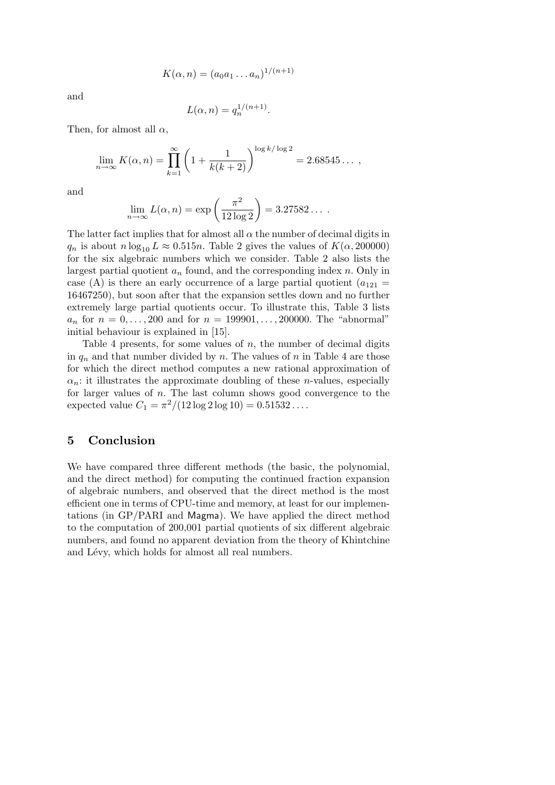$$
K(\alpha, n) = (a_0 a_1 \dots a_n)^{1/(n+1)}
$$

and

$$
L(\alpha, n) = q_n^{1/(n+1)}.
$$

Then, for almost all  $\alpha$ ,

$$
\lim_{n \to \infty} K(\alpha, n) = \prod_{k=1}^{\infty} \left( 1 + \frac{1}{k(k+2)} \right)^{\log k / \log 2} = 2.68545\dots,
$$

and

$$
\lim_{n \to \infty} L(\alpha, n) = \exp\left(\frac{\pi^2}{12 \log 2}\right) = 3.27582\dots
$$

The latter fact implies that for almost all  $\alpha$  the number of decimal digits in  $q_n$  is about  $n \log_{10} L \approx 0.515n$ . Table 2 gives the values of  $K(\alpha, 200000)$ for the six algebraic numbers which we consider. Table 2 also lists the largest partial quotient  $a_n$  found, and the corresponding index  $n$ . Only in case (A) is there an early occurrence of a large partial quotient  $(a_{121} =$ 16467250), but soon after that the expansion settles down and no further extremely large partial quotients occur. To illustrate this, Table 3 lists  $a_n$  for  $n = 0, ..., 200$  and for  $n = 199901, ..., 200000$ . The "abnormal" initial behaviour is explained in [15].

Table 4 presents, for some values of *n*, the number of decimal digits in  $q_n$  and that number divided by *n*. The values of *n* in Table 4 are those for which the direct method computes a new rational approximation of  $a_n$ : it illustrates the approximate doubling of these *n*-values, especially for larger values of *n*. The last column shows good convergence to the expected value  $C_1 = \frac{\pi^2}{12 \log 2 \log 10} = 0.51532...$ 

# **5 Conclusion**

We have compared three different methods (the basic, the polynomial, and the direct method) for computing the continued fraction expansion of algebraic numbers, and observed that the direct method is the most efficient one in terms of CPU-time and memory, at least for our implementations (in GP/PARI and Magma). We have applied the direct method to the computation of 200,001 partial quotients of six different algebraic numbers, and found no apparent deviation from the theory of Khintchine and Lévy, which holds for almost all real numbers.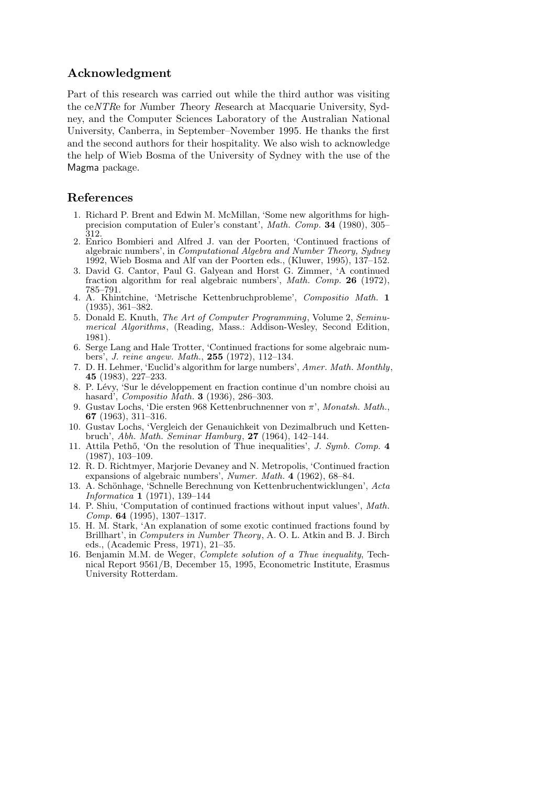# **Acknowledgment**

Part of this research was carried out while the third author was visiting the ceNTRe for Number Theory Research at Macquarie University, Sydney, and the Computer Sciences Laboratory of the Australian National University, Canberra, in September–November 1995. He thanks the first and the second authors for their hospitality. We also wish to acknowledge the help of Wieb Bosma of the University of Sydney with the use of the Magma package.

# **References**

- 1. Richard P. Brent and Edwin M. McMillan, 'Some new algorithms for highprecision computation of Euler's constant', *Math. Comp.* **34** (1980), 305– 312.
- 2. Enrico Bombieri and Alfred J. van der Poorten, 'Continued fractions of algebraic numbers', in *Computational Algebra and Number Theory, Sydney* 1992, Wieb Bosma and Alf van der Poorten eds., (Kluwer, 1995), 137–152.
- 3. David G. Cantor, Paul G. Galyean and Horst G. Zimmer, 'A continued fraction algorithm for real algebraic numbers', *Math. Comp.* **26** (1972), 785–791.
- 4. A. Khintchine, 'Metrische Kettenbruchprobleme', *Compositio Math.* **1** (1935), 361–382.
- 5. Donald E. Knuth, *The Art of Computer Programming*, Volume 2, *Seminumerical Algorithms*, (Reading, Mass.: Addison-Wesley, Second Edition, 1981).
- 6. Serge Lang and Hale Trotter, 'Continued fractions for some algebraic numbers', *J. reine angew. Math.*, **255** (1972), 112–134.
- 7. D. H. Lehmer, 'Euclid's algorithm for large numbers', *Amer. Math. Monthly*, **45** (1983), 227–233.
- 8. P. Lévy, 'Sur le développement en fraction continue d'un nombre choisi au hasard', *Compositio Math.* **3** (1936), 286–303.
- 9. Gustav Lochs, 'Die ersten 968 Kettenbruchnenner von *π*', *Monatsh. Math.*, **67** (1963), 311–316.
- 10. Gustav Lochs, 'Vergleich der Genauichkeit von Dezimalbruch und Kettenbruch', *Abh. Math. Seminar Hamburg*, **27** (1964), 142–144.
- 11. Attila Pethő, 'On the resolution of Thue inequalities', *J. Symb. Comp.* 4 (1987), 103–109.
- 12. R. D. Richtmyer, Marjorie Devaney and N. Metropolis, 'Continued fraction expansions of algebraic numbers', *Numer. Math.* **4** (1962), 68–84.
- 13. A. Sch¨onhage, 'Schnelle Berechnung von Kettenbruchentwicklungen', *Acta Informatica* **1** (1971), 139–144
- 14. P. Shiu, 'Computation of continued fractions without input values', *Math. Comp.* **64** (1995), 1307–1317.
- 15. H. M. Stark, 'An explanation of some exotic continued fractions found by Brillhart', in *Computers in Number Theory*, A. O. L. Atkin and B. J. Birch eds., (Academic Press, 1971), 21–35.
- 16. Benjamin M.M. de Weger, *Complete solution of a Thue inequality*, Technical Report 9561/B, December 15, 1995, Econometric Institute, Erasmus University Rotterdam.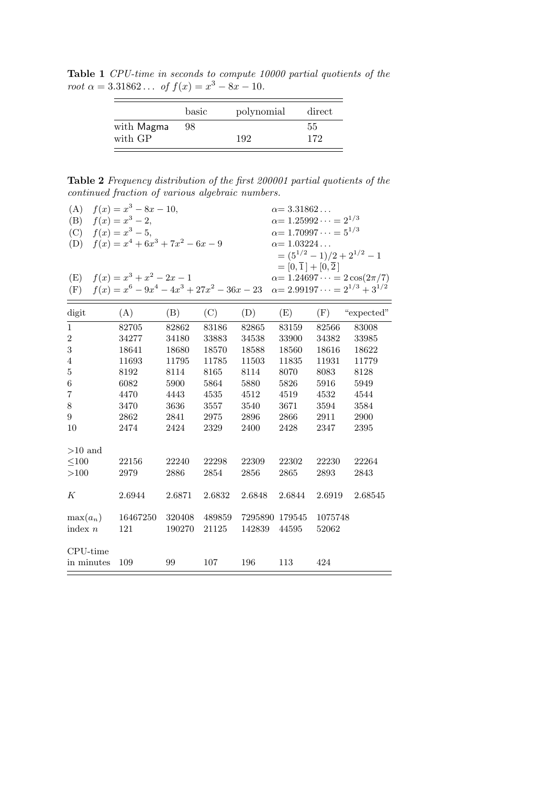**Table 1** CPU-time in seconds to compute 10000 partial quotients of the  $\text{root } \alpha = 3.31862... \text{ of } f(x) = x^3 - 8x - 10.$ 

|     | 55  |
|-----|-----|
|     |     |
| 192 | 172 |
|     |     |

**Table 2** Frequency distribution of the first 200001 partial quotients of the continued fraction of various algebraic numbers.

| (A)<br>(B)<br>(C)<br>(D)<br>(E)<br>(F) | $f(x) = x^3 - 8x - 10,$<br>$f(x) = x^3 - 2,$<br>$f(x) = x^3 - 5,$<br>$f(x) = x^4 + 6x^3 + 7x^2 - 6x - 9$<br>$f(x) = x^3 + x^2 - 2x - 1$<br>$f(x) = x^6 - 9x^4 - 4x^3 + 27x^2 - 36x - 23 \quad \alpha = 2.99197 \cdots = 2^{1/3} + 3^{1/2}$ |                  |                 |                          | $\alpha = 3.31862$<br>$\alpha = 1.25992 \cdots = 2^{1/3}$<br>$\alpha = 1.70997 \cdots = 5^{1/3}$<br>$\alpha = 1.03224$<br>$=[0,\overline{1}]+[0,\overline{2}]$ | $=(5^{1/2}-1)/2+2^{1/2}-1$ | $\alpha = 1.24697 \cdots = 2 \cos(2\pi/7)$ |
|----------------------------------------|--------------------------------------------------------------------------------------------------------------------------------------------------------------------------------------------------------------------------------------------|------------------|-----------------|--------------------------|----------------------------------------------------------------------------------------------------------------------------------------------------------------|----------------------------|--------------------------------------------|
| digit                                  | (A)                                                                                                                                                                                                                                        | (B)              | (C)             | (D)                      | (E)                                                                                                                                                            | (F)                        | "expected"                                 |
| 1                                      | 82705                                                                                                                                                                                                                                      | 82862            | 83186           | 82865                    | 83159                                                                                                                                                          | 82566                      | 83008                                      |
| $\sqrt{2}$                             | 34277                                                                                                                                                                                                                                      | 34180            | 33883           | 34538                    | 33900                                                                                                                                                          | 34382                      | 33985                                      |
| 3                                      | 18641                                                                                                                                                                                                                                      | 18680            | 18570           | 18588                    | 18560                                                                                                                                                          | 18616                      | 18622                                      |
| $\,4\,$                                | 11693                                                                                                                                                                                                                                      | 11795            | 11785           | 11503                    | 11835                                                                                                                                                          | 11931                      | 11779                                      |
| $\bf 5$                                | 8192                                                                                                                                                                                                                                       | 8114             | 8165            | 8114                     | 8070                                                                                                                                                           | 8083                       | 8128                                       |
| $\,6\,$                                | 6082                                                                                                                                                                                                                                       | 5900             | 5864            | 5880                     | 5826                                                                                                                                                           | 5916                       | 5949                                       |
| 7                                      | 4470                                                                                                                                                                                                                                       | 4443             | 4535            | 4512                     | 4519                                                                                                                                                           | 4532                       | 4544                                       |
| $8\,$                                  | 3470                                                                                                                                                                                                                                       | 3636             | 3557            | $3540\,$                 | 3671                                                                                                                                                           | 3594                       | 3584                                       |
| 9                                      | 2862                                                                                                                                                                                                                                       | 2841             | 2975            | 2896                     | 2866                                                                                                                                                           | 2911                       | 2900                                       |
| 10                                     | 2474                                                                                                                                                                                                                                       | 2424             | 2329            | 2400                     | 2428                                                                                                                                                           | 2347                       | 2395                                       |
| $>10$ and                              |                                                                                                                                                                                                                                            |                  |                 |                          |                                                                                                                                                                |                            |                                            |
| $\leq100$                              | 22156                                                                                                                                                                                                                                      | 22240            | 22298           | 22309                    | 22302                                                                                                                                                          | 22230                      | 22264                                      |
| >100                                   | 2979                                                                                                                                                                                                                                       | 2886             | 2854            | 2856                     | 2865                                                                                                                                                           | 2893                       | 2843                                       |
| К                                      | 2.6944                                                                                                                                                                                                                                     | 2.6871           | 2.6832          | 2.6848                   | 2.6844                                                                                                                                                         | 2.6919                     | 2.68545                                    |
| $max(a_n)$<br>index $n$                | 16467250<br>121                                                                                                                                                                                                                            | 320408<br>190270 | 489859<br>21125 | 7295890 179545<br>142839 | 44595                                                                                                                                                          | 1075748<br>52062           |                                            |
| CPU-time<br>in minutes                 | 109                                                                                                                                                                                                                                        | 99               | 107             | 196                      | 113                                                                                                                                                            | 424                        |                                            |